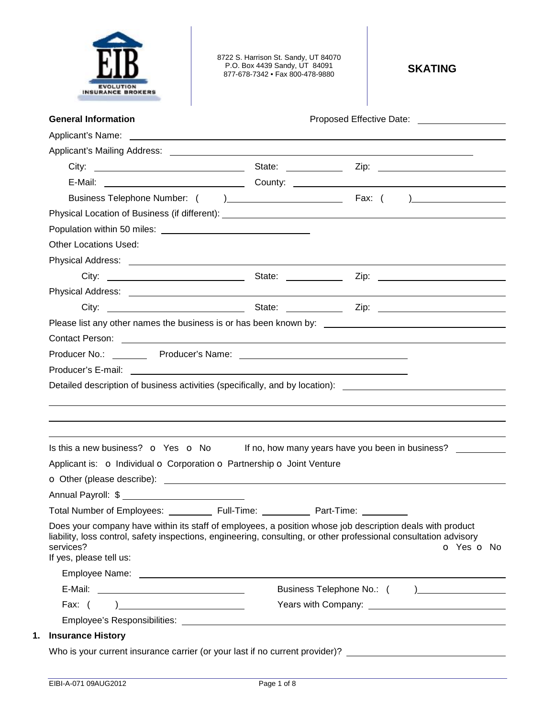

8722 S. Harrison St. Sandy, UT 84070 P.O. Box 4439 Sandy, UT 84091 877-678-7342 • Fax 800-478-9880 **SKATING** 

| <b>Other Locations Used:</b>                                           |                                                                                                                                                                                                                                |
|------------------------------------------------------------------------|--------------------------------------------------------------------------------------------------------------------------------------------------------------------------------------------------------------------------------|
|                                                                        |                                                                                                                                                                                                                                |
|                                                                        |                                                                                                                                                                                                                                |
|                                                                        |                                                                                                                                                                                                                                |
|                                                                        |                                                                                                                                                                                                                                |
|                                                                        |                                                                                                                                                                                                                                |
|                                                                        | Contact Person: example and the contract of the contract of the contract of the contract Person:                                                                                                                               |
|                                                                        |                                                                                                                                                                                                                                |
|                                                                        |                                                                                                                                                                                                                                |
|                                                                        |                                                                                                                                                                                                                                |
|                                                                        |                                                                                                                                                                                                                                |
|                                                                        | Detailed description of business activities (specifically, and by location): _________________________________                                                                                                                 |
|                                                                        |                                                                                                                                                                                                                                |
|                                                                        |                                                                                                                                                                                                                                |
|                                                                        |                                                                                                                                                                                                                                |
|                                                                        | Is this a new business? $\bullet$ Yes $\bullet$ No If no, how many years have you been in business?                                                                                                                            |
| Applicant is: o Individual o Corporation o Partnership o Joint Venture |                                                                                                                                                                                                                                |
|                                                                        |                                                                                                                                                                                                                                |
|                                                                        |                                                                                                                                                                                                                                |
| Total Number of Employees: ___________ Full-Time:                      | Part-Time:                                                                                                                                                                                                                     |
|                                                                        | Does your company have within its staff of employees, a position whose job description deals with product                                                                                                                      |
| services?                                                              | liability, loss control, safety inspections, engineering, consulting, or other professional consultation advisory<br>O Yes O No                                                                                                |
| If yes, please tell us:                                                |                                                                                                                                                                                                                                |
|                                                                        |                                                                                                                                                                                                                                |
|                                                                        | Business Telephone No.: ( )                                                                                                                                                                                                    |
| Fax: $($<br>) and the contract of the contract of $\mathcal{L}$        | Years with Company: Nearly Company: Nearly Company: Nearly Company: Nearly Company: Nearly Company: Nearly Company: Nearly Company: Nearly Company: Nearly Company: Nearly Company: Nearly Company: Nearly Company: Nearly Com |
|                                                                        |                                                                                                                                                                                                                                |
| <b>Insurance History</b>                                               |                                                                                                                                                                                                                                |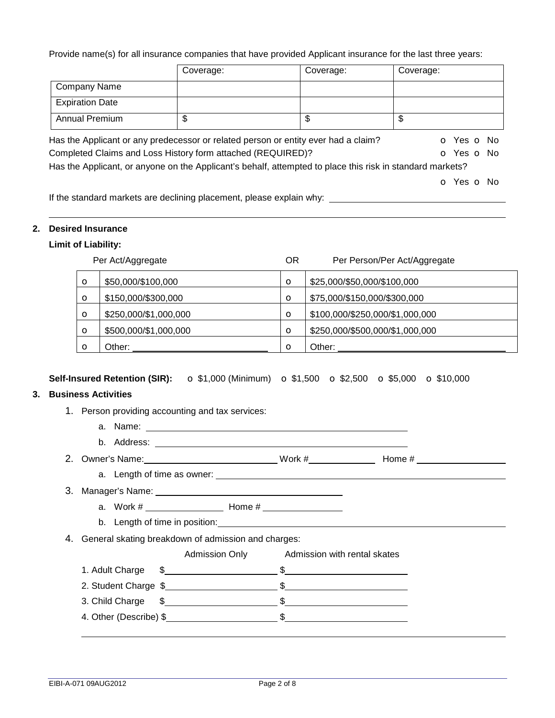Provide name(s) for all insurance companies that have provided Applicant insurance for the last three years:

|                        | Coverage:                                                                                                 | Coverage: | Coverage:  |
|------------------------|-----------------------------------------------------------------------------------------------------------|-----------|------------|
| <b>Company Name</b>    |                                                                                                           |           |            |
| <b>Expiration Date</b> |                                                                                                           |           |            |
| <b>Annual Premium</b>  | \$                                                                                                        | \$        | \$         |
|                        | Has the Applicant or any predecessor or related person or entity ever had a claim?                        |           | o Yes o No |
|                        | Completed Claims and Loss History form attached (REQUIRED)?                                               |           | O Yes O No |
|                        | Has the Applicant, or anyone on the Applicant's behalf, attempted to place this risk in standard markets? |           |            |
|                        |                                                                                                           |           | o Yes o No |
|                        | If the standard markets are declining placement, please explain why:                                      |           |            |

If the standard markets are declining placement, please explain why:

## **2. Desired Insurance**

## **Limit of Liability:**

|          | Per Act/Aggregate     | ΟR      | Per Person/Per Act/Aggregate    |
|----------|-----------------------|---------|---------------------------------|
| $\circ$  | \$50,000/\$100,000    | $\circ$ | \$25,000/\$50,000/\$100,000     |
| $\circ$  | \$150,000/\$300,000   | $\circ$ | \$75,000/\$150,000/\$300,000    |
| $\circ$  | \$250,000/\$1,000,000 | $\circ$ | \$100,000/\$250,000/\$1,000,000 |
| $\circ$  | \$500,000/\$1,000,000 | $\circ$ | \$250,000/\$500,000/\$1,000,000 |
| $\Omega$ | Other:                | $\circ$ | Other:                          |

## **Self-Insured Retention (SIR):** o \$1,000 (Minimum) o \$1,500 o \$2,500 o \$5,000 o \$10,000

## **3. Business Activities**

- 1. Person providing accounting and tax services:
	- a. Name:
	- b. Address:
- 2. Owner's Name: 2. Owner's Name: 2. Work # Home # Home # Home # 1990
	- a. Length of time as owner:
- 3. Manager's Name: a. Work # Home #
	- b. Length of time in position: **Example 20** Eq. 20 and 20 and 20 and 20 and 20 and 20 and 20 and 20 and 20 and 20 and 20 and 20 and 20 and 20 and 20 and 20 and 20 and 20 and 20 and 20 and 20 and 20 and 20 and 20 and 20 and
	-
- 4. General skating breakdown of admission and charges:
	- Admission Only Admission with rental skates 1. Adult Charge  $\frac{1}{2}$   $\frac{1}{2}$   $\frac{1}{2}$   $\frac{1}{2}$   $\frac{1}{2}$   $\frac{1}{2}$   $\frac{1}{2}$   $\frac{1}{2}$   $\frac{1}{2}$   $\frac{1}{2}$   $\frac{1}{2}$   $\frac{1}{2}$   $\frac{1}{2}$   $\frac{1}{2}$   $\frac{1}{2}$   $\frac{1}{2}$   $\frac{1}{2}$   $\frac{1}{2}$   $\frac{1}{2}$   $\frac{1}{2}$   $\frac{1}{$ 2. Student Charge \$ \$
	- 3. Child Charge  $\frac{1}{2}$   $\frac{1}{2}$   $\frac{1}{2}$   $\frac{1}{2}$   $\frac{1}{2}$   $\frac{1}{2}$   $\frac{1}{2}$   $\frac{1}{2}$   $\frac{1}{2}$   $\frac{1}{2}$   $\frac{1}{2}$   $\frac{1}{2}$   $\frac{1}{2}$   $\frac{1}{2}$   $\frac{1}{2}$   $\frac{1}{2}$   $\frac{1}{2}$   $\frac{1}{2}$   $\frac{1}{2}$   $\frac{1}{2}$   $\frac{1$
	- 4. Other (Describe) \$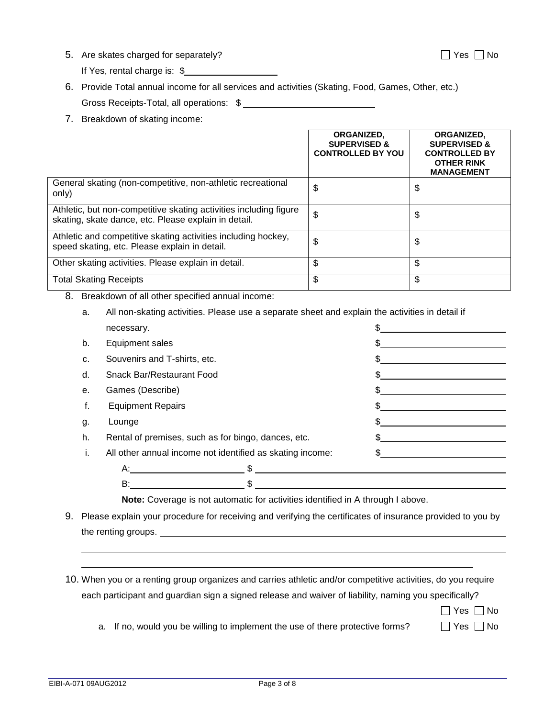5. Are skates charged for separately? Suppose that the set of the SNO No  $\Box$  Yes  $\Box$  No

If Yes, rental charge is: \$

- 6. Provide Total annual income for all services and activities (Skating, Food, Games, Other, etc.) Gross Receipts-Total, all operations: \$
- 7. Breakdown of skating income:

|                                                                                                                           | ORGANIZED.<br><b>SUPERVISED &amp;</b><br><b>CONTROLLED BY YOU</b> | <b>ORGANIZED.</b><br><b>SUPERVISED &amp;</b><br><b>CONTROLLED BY</b><br><b>OTHER RINK</b><br><b>MANAGEMENT</b> |
|---------------------------------------------------------------------------------------------------------------------------|-------------------------------------------------------------------|----------------------------------------------------------------------------------------------------------------|
| General skating (non-competitive, non-athletic recreational<br>only)                                                      | \$                                                                | \$                                                                                                             |
| Athletic, but non-competitive skating activities including figure<br>skating, skate dance, etc. Please explain in detail. | \$                                                                | \$                                                                                                             |
| Athletic and competitive skating activities including hockey,<br>speed skating, etc. Please explain in detail.            | \$                                                                | \$                                                                                                             |
| Other skating activities. Please explain in detail.                                                                       | \$                                                                | \$                                                                                                             |
| <b>Total Skating Receipts</b>                                                                                             | \$                                                                | \$                                                                                                             |

8. Breakdown of all other specified annual income:

a. All non-skating activities. Please use a separate sheet and explain the activities in detail if

|    | necessary.                                                |    |
|----|-----------------------------------------------------------|----|
| b. | Equipment sales                                           |    |
| c. | Souvenirs and T-shirts, etc.                              |    |
| d. | Snack Bar/Restaurant Food                                 |    |
| е. | Games (Describe)                                          | \$ |
| f. | <b>Equipment Repairs</b>                                  |    |
| g. | Lounge                                                    |    |
| h. | Rental of premises, such as for bingo, dances, etc.       |    |
| ı. | All other annual income not identified as skating income: |    |
|    | A:                                                        |    |
|    | B:                                                        |    |
|    |                                                           |    |

**Note:** Coverage is not automatic for activities identified in A through I above.

- 9. Please explain your procedure for receiving and verifying the certificates of insurance provided to you by the renting groups.
- 10. When you or a renting group organizes and carries athletic and/or competitive activities, do you require each participant and guardian sign a signed release and waiver of liability, naming you specifically?

 $\Box$  Yes  $\Box$  No

a. If no, would you be willing to implement the use of there protective forms?  $\Box$  Yes  $\Box$  No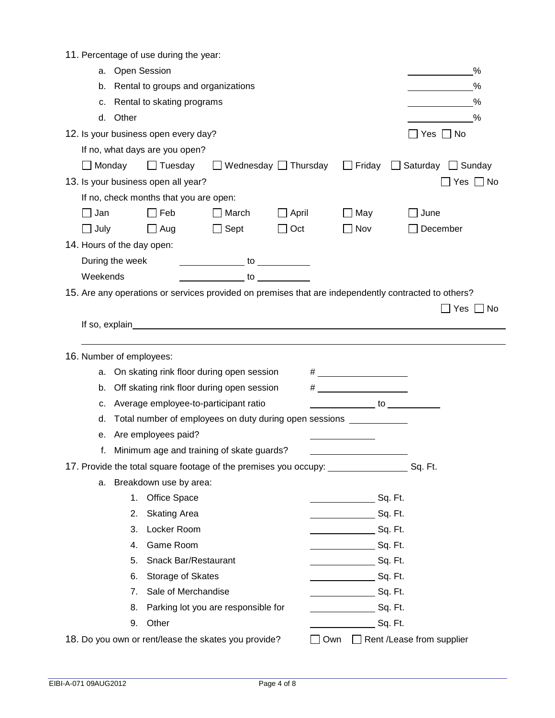|  | 11. Percentage of use during the year: |  |  |  |
|--|----------------------------------------|--|--|--|
|--|----------------------------------------|--|--|--|

| <b>Open Session</b><br>а.                                                                                                                                                                                                      |                                       |                                                 |                                                                                                                                                                                                                                    |                                                      | %                                                                            |
|--------------------------------------------------------------------------------------------------------------------------------------------------------------------------------------------------------------------------------|---------------------------------------|-------------------------------------------------|------------------------------------------------------------------------------------------------------------------------------------------------------------------------------------------------------------------------------------|------------------------------------------------------|------------------------------------------------------------------------------|
| b.                                                                                                                                                                                                                             | Rental to groups and organizations    |                                                 |                                                                                                                                                                                                                                    |                                                      | %                                                                            |
| c.                                                                                                                                                                                                                             | Rental to skating programs            |                                                 |                                                                                                                                                                                                                                    |                                                      | %                                                                            |
| Other<br>d.                                                                                                                                                                                                                    |                                       |                                                 |                                                                                                                                                                                                                                    |                                                      | %                                                                            |
| 12. Is your business open every day?                                                                                                                                                                                           |                                       |                                                 |                                                                                                                                                                                                                                    |                                                      | _  Yes   _  No                                                               |
| If no, what days are you open?                                                                                                                                                                                                 |                                       |                                                 |                                                                                                                                                                                                                                    |                                                      |                                                                              |
| $\Box$ Monday                                                                                                                                                                                                                  | $\Box$ Tuesday                        |                                                 |                                                                                                                                                                                                                                    |                                                      | $\Box$ Wednesday $\Box$ Thursday $\Box$ Friday $\Box$ Saturday $\Box$ Sunday |
| 13. Is your business open all year?                                                                                                                                                                                            |                                       |                                                 |                                                                                                                                                                                                                                    |                                                      | Yes $\Box$ No                                                                |
| If no, check months that you are open:                                                                                                                                                                                         |                                       |                                                 |                                                                                                                                                                                                                                    |                                                      |                                                                              |
| $\Box$ Jan                                                                                                                                                                                                                     | $\Box$ Feb                            | $\Box$ March                                    | $\Box$ April                                                                                                                                                                                                                       | $\Box$ May                                           | June                                                                         |
| $\Box$ July                                                                                                                                                                                                                    | $\Box$ Aug                            | $\Box$ Sept                                     | $\Box$ Oct                                                                                                                                                                                                                         | $\Box$ Nov                                           | December                                                                     |
| 14. Hours of the day open:                                                                                                                                                                                                     |                                       |                                                 |                                                                                                                                                                                                                                    |                                                      |                                                                              |
| During the week in the same of the same of the same of the same of the same of the same of the same of the same of the same of the same of the same of the same of the same of the same of the same of the same of the same of |                                       |                                                 |                                                                                                                                                                                                                                    |                                                      |                                                                              |
| Weekends                                                                                                                                                                                                                       |                                       | $\frac{1}{2}$ to $\frac{1}{2}$ to $\frac{1}{2}$ |                                                                                                                                                                                                                                    |                                                      |                                                                              |
| 15. Are any operations or services provided on premises that are independently contracted to others?                                                                                                                           |                                       |                                                 |                                                                                                                                                                                                                                    |                                                      |                                                                              |
|                                                                                                                                                                                                                                |                                       |                                                 |                                                                                                                                                                                                                                    |                                                      | ̄l Yes [<br>∐ No                                                             |
|                                                                                                                                                                                                                                |                                       |                                                 | If so, explain <u>contact the control of solution</u> and solution of solution and solution of solution of solution of solution of solution of solution of solution of solution of solution of solution of solution of solution of |                                                      |                                                                              |
|                                                                                                                                                                                                                                |                                       |                                                 |                                                                                                                                                                                                                                    |                                                      |                                                                              |
| 16. Number of employees:                                                                                                                                                                                                       |                                       |                                                 |                                                                                                                                                                                                                                    |                                                      |                                                                              |
| а.                                                                                                                                                                                                                             |                                       | On skating rink floor during open session       |                                                                                                                                                                                                                                    |                                                      |                                                                              |
| b.                                                                                                                                                                                                                             |                                       | Off skating rink floor during open session      |                                                                                                                                                                                                                                    |                                                      |                                                                              |
| c.                                                                                                                                                                                                                             | Average employee-to-participant ratio |                                                 |                                                                                                                                                                                                                                    | $\overline{\phantom{a}}$ to $\overline{\phantom{a}}$ |                                                                              |
| d.                                                                                                                                                                                                                             |                                       |                                                 | Total number of employees on duty during open sessions <b>construents</b>                                                                                                                                                          |                                                      |                                                                              |
| е.                                                                                                                                                                                                                             | Are employees paid?                   |                                                 |                                                                                                                                                                                                                                    |                                                      |                                                                              |
| f.                                                                                                                                                                                                                             |                                       | Minimum age and training of skate guards?       |                                                                                                                                                                                                                                    |                                                      |                                                                              |
|                                                                                                                                                                                                                                |                                       |                                                 |                                                                                                                                                                                                                                    |                                                      |                                                                              |
| а.                                                                                                                                                                                                                             | Breakdown use by area:                |                                                 |                                                                                                                                                                                                                                    |                                                      |                                                                              |
|                                                                                                                                                                                                                                | 1. Office Space                       |                                                 |                                                                                                                                                                                                                                    | ________________________Sq. Ft.                      |                                                                              |
| 2.                                                                                                                                                                                                                             | <b>Skating Area</b>                   |                                                 |                                                                                                                                                                                                                                    | Sq. Ft.                                              |                                                                              |
| 3.                                                                                                                                                                                                                             | Locker Room                           |                                                 |                                                                                                                                                                                                                                    | Sq. Ft.                                              |                                                                              |
| 4.                                                                                                                                                                                                                             | Game Room                             |                                                 |                                                                                                                                                                                                                                    | Sq. Ft.                                              |                                                                              |
| 5.                                                                                                                                                                                                                             | Snack Bar/Restaurant                  |                                                 |                                                                                                                                                                                                                                    | Sq. Ft.                                              |                                                                              |
| 6.                                                                                                                                                                                                                             | Storage of Skates                     |                                                 |                                                                                                                                                                                                                                    | Sq. Ft.                                              |                                                                              |
| 7.                                                                                                                                                                                                                             | Sale of Merchandise                   |                                                 |                                                                                                                                                                                                                                    | $Sq.$ Ft.                                            |                                                                              |
| 8.                                                                                                                                                                                                                             |                                       | Parking lot you are responsible for             |                                                                                                                                                                                                                                    | Sq. Ft.                                              |                                                                              |
| 9.                                                                                                                                                                                                                             | Other                                 |                                                 |                                                                                                                                                                                                                                    | Sq. Ft.                                              |                                                                              |
| 18. Do you own or rent/lease the skates you provide?                                                                                                                                                                           |                                       |                                                 |                                                                                                                                                                                                                                    | Own □ Rent /Lease from supplier                      |                                                                              |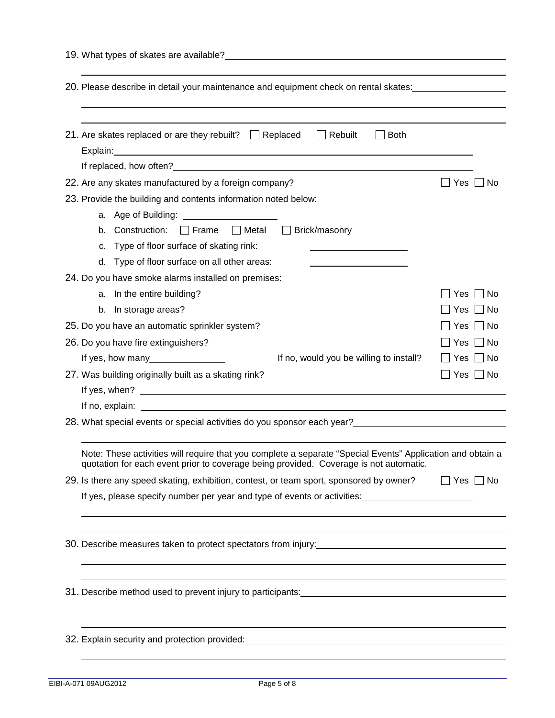| 20. Please describe in detail your maintenance and equipment check on rental skates:                                                                                                                                             |                      |
|----------------------------------------------------------------------------------------------------------------------------------------------------------------------------------------------------------------------------------|----------------------|
|                                                                                                                                                                                                                                  |                      |
|                                                                                                                                                                                                                                  |                      |
| 21. Are skates replaced or are they rebuilt? $\Box$ Replaced<br>$\Box$ Rebuilt<br><b>Both</b>                                                                                                                                    |                      |
|                                                                                                                                                                                                                                  |                      |
| 22. Are any skates manufactured by a foreign company?                                                                                                                                                                            | _∣ Yes<br>No         |
| 23. Provide the building and contents information noted below:                                                                                                                                                                   |                      |
| a. Age of Building: <u>_________________________</u>                                                                                                                                                                             |                      |
| b. Construction: $\Box$ Frame $\Box$ Metal<br>Brick/masonry                                                                                                                                                                      |                      |
| c. Type of floor surface of skating rink:                                                                                                                                                                                        |                      |
| d. Type of floor surface on all other areas:                                                                                                                                                                                     |                      |
| 24. Do you have smoke alarms installed on premises:                                                                                                                                                                              |                      |
| a. In the entire building?                                                                                                                                                                                                       | l No<br>Yes          |
| b. In storage areas?                                                                                                                                                                                                             | _  Yes   _  No       |
| 25. Do you have an automatic sprinkler system?                                                                                                                                                                                   | _  Yes   _  No       |
| 26. Do you have fire extinguishers?                                                                                                                                                                                              | $\Box$ Yes $\Box$ No |
| If yes, how many__________________<br>If no, would you be willing to install?                                                                                                                                                    | _  Yes   _  No       |
| 27. Was building originally built as a skating rink?                                                                                                                                                                             | $\Box$ Yes $\Box$ No |
|                                                                                                                                                                                                                                  |                      |
|                                                                                                                                                                                                                                  |                      |
| 28. What special events or special activities do you sponsor each year?____________________________                                                                                                                              |                      |
| Note: These activities will require that you complete a separate "Special Events" Application and obtain a<br>quotation for each event prior to coverage being provided. Coverage is not automatic.                              |                      |
| 29. Is there any speed skating, exhibition, contest, or team sport, sponsored by owner?                                                                                                                                          | $\Box$ Yes $\Box$ No |
| If yes, please specify number per year and type of events or activities: 1992 1994                                                                                                                                               |                      |
|                                                                                                                                                                                                                                  |                      |
| <u> 1989 - Johann Stoff, deur de Frankryk fan de Fryske kommunenter fan de Fryske kommunenter fan de Fryske kommun</u>                                                                                                           |                      |
|                                                                                                                                                                                                                                  |                      |
|                                                                                                                                                                                                                                  |                      |
|                                                                                                                                                                                                                                  |                      |
|                                                                                                                                                                                                                                  |                      |
|                                                                                                                                                                                                                                  |                      |
| 32. Explain security and protection provided:<br>Same manager and the context of the context of the context of the context of the context of the context of the context of the context of the context of the context of the cont |                      |
|                                                                                                                                                                                                                                  |                      |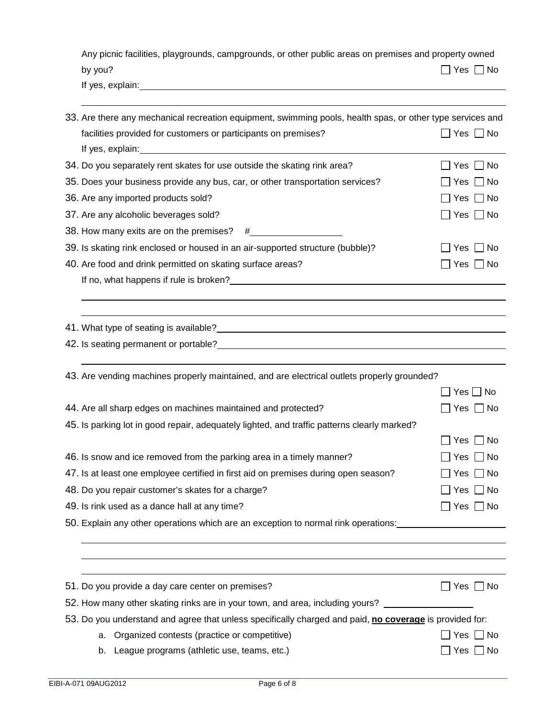| Any picnic facilities, playgrounds, campgrounds, or other public areas on premises and property owned                                                                                                                                |                      |
|--------------------------------------------------------------------------------------------------------------------------------------------------------------------------------------------------------------------------------------|----------------------|
| by you?                                                                                                                                                                                                                              | 7 Yes ∩No            |
| If yes, explain: <u>contract the contract of the contract of the contract of the contract of the contract of the contract of the contract of the contract of the contract of the contract of the contract of the contract of the</u> |                      |
| 33. Are there any mechanical recreation equipment, swimming pools, health spas, or other type services and                                                                                                                           |                      |
| facilities provided for customers or participants on premises?                                                                                                                                                                       | $\Box$ Yes $\Box$ No |
| If yes, explain:                                                                                                                                                                                                                     |                      |
| 34. Do you separately rent skates for use outside the skating rink area?                                                                                                                                                             | Yes     No           |
| 35. Does your business provide any bus, car, or other transportation services?                                                                                                                                                       | 」Yes □ No            |
| 36. Are any imported products sold?                                                                                                                                                                                                  | ]Yes □ No            |
| 37. Are any alcoholic beverages sold?                                                                                                                                                                                                | ]Yes □ No            |
|                                                                                                                                                                                                                                      |                      |
| 39. Is skating rink enclosed or housed in an air-supported structure (bubble)?                                                                                                                                                       | Yes $\Box$ No        |
| 40. Are food and drink permitted on skating surface areas?                                                                                                                                                                           | $\Box$ Yes $\Box$ No |
|                                                                                                                                                                                                                                      |                      |
|                                                                                                                                                                                                                                      |                      |
| 42. Is seating permanent or portable?<br>All the seating permanent or portable?                                                                                                                                                      |                      |
| 43. Are vending machines properly maintained, and are electrical outlets properly grounded?                                                                                                                                          |                      |
|                                                                                                                                                                                                                                      | $Yes \Box No$        |
| 44. Are all sharp edges on machines maintained and protected?                                                                                                                                                                        | 」Yes □ No            |
| 45. Is parking lot in good repair, adequately lighted, and traffic patterns clearly marked?                                                                                                                                          |                      |
|                                                                                                                                                                                                                                      | l INo<br>Yes         |

| 47. Is at least one employee certified in first aid on premises during open season? | $\Box$ Yes $\Box$ No |
|-------------------------------------------------------------------------------------|----------------------|
| 48. Do you repair customer's skates for a charge?                                   | $\Box$ Yes $\Box$ No |
| 49. Is rink used as a dance hall at any time?                                       | $\Box$ Yes $\Box$ No |

50. Explain any other operations which are an exception to normal rink operations:

46. Is snow and ice removed from the parking area in a timely manner?  $\Box$  Yes  $\Box$  No

| 51. Do you provide a day care center on premises?                                                       | Yes     No           |
|---------------------------------------------------------------------------------------------------------|----------------------|
| 52. How many other skating rinks are in your town, and area, including yours?                           |                      |
| 53. Do you understand and agree that unless specifically charged and paid, no coverage is provided for: |                      |
| a. Organized contests (practice or competitive)                                                         | $\Box$ Yes $\Box$ No |
| League programs (athletic use, teams, etc.)<br>b.                                                       | Yes     No           |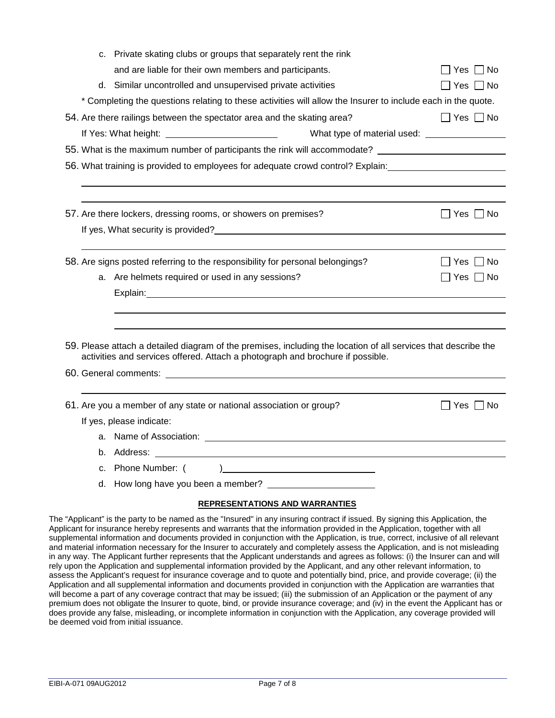| c. Private skating clubs or groups that separately rent the rink                                                                    |                      |
|-------------------------------------------------------------------------------------------------------------------------------------|----------------------|
| and are liable for their own members and participants.                                                                              | Yes  No              |
| d. Similar uncontrolled and unsupervised private activities                                                                         | ̄ Yes ┌ No           |
| * Completing the questions relating to these activities will allow the Insurer to include each in the quote.                        |                      |
| 54. Are there railings between the spectator area and the skating area?                                                             | $\Box$ Yes $\Box$ No |
|                                                                                                                                     |                      |
| 55. What is the maximum number of participants the rink will accommodate?                                                           |                      |
| 56. What training is provided to employees for adequate crowd control? Explain:                                                     |                      |
|                                                                                                                                     |                      |
|                                                                                                                                     |                      |
| 57. Are there lockers, dressing rooms, or showers on premises?                                                                      | $\Box$ Yes $\Box$ No |
| If yes, What security is provided?                                                                                                  |                      |
|                                                                                                                                     |                      |
| 58. Are signs posted referring to the responsibility for personal belongings?                                                       | l IYes I INo         |
| a. Are helmets required or used in any sessions?                                                                                    | $\Box$ Yes $\Box$ No |
|                                                                                                                                     |                      |
|                                                                                                                                     |                      |
|                                                                                                                                     |                      |
| 59. Please attach a detailed diagram of the premises, including the location of all services that describe the                      |                      |
| activities and services offered. Attach a photograph and brochure if possible.                                                      |                      |
|                                                                                                                                     |                      |
|                                                                                                                                     |                      |
| 61. Are you a member of any state or national association or group?                                                                 | $\Box$ Yes $\Box$ No |
| If yes, please indicate:                                                                                                            |                      |
| a. Name of Association: Name of Association:                                                                                        |                      |
| b. Address:<br><u> 1980 - Andrea Barbara, poeta esperanto-poeta esperanto-poeta esperanto-poeta esperanto-poeta esperanto-poeta</u> |                      |
| c. Phone Number: (<br>). The contraction of the contraction of $\mathcal{L}$                                                        |                      |
|                                                                                                                                     |                      |
| <b>REPRESENTATIONS AND WARRANTIES</b>                                                                                               |                      |

The "Applicant" is the party to be named as the "Insured" in any insuring contract if issued. By signing this Application, the Applicant for insurance hereby represents and warrants that the information provided in the Application, together with all supplemental information and documents provided in conjunction with the Application, is true, correct, inclusive of all relevant and material information necessary for the Insurer to accurately and completely assess the Application, and is not misleading in any way. The Applicant further represents that the Applicant understands and agrees as follows: (i) the Insurer can and will rely upon the Application and supplemental information provided by the Applicant, and any other relevant information, to assess the Applicant's request for insurance coverage and to quote and potentially bind, price, and provide coverage; (ii) the Application and all supplemental information and documents provided in conjunction with the Application are warranties that will become a part of any coverage contract that may be issued; (iii) the submission of an Application or the payment of any premium does not obligate the Insurer to quote, bind, or provide insurance coverage; and (iv) in the event the Applicant has or does provide any false, misleading, or incomplete information in conjunction with the Application, any coverage provided will be deemed void from initial issuance.